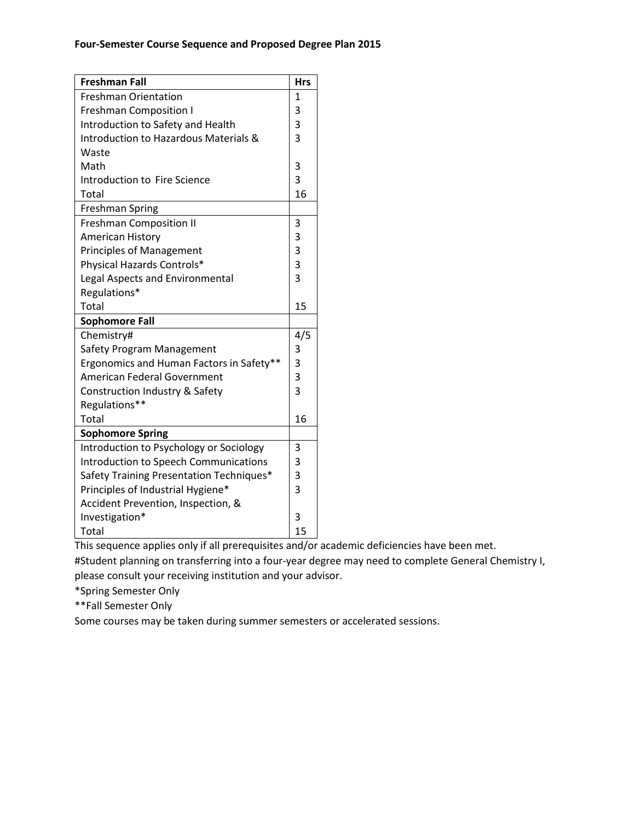| <b>Freshman Fall</b>                     | <b>Hrs</b>     |
|------------------------------------------|----------------|
| <b>Freshman Orientation</b>              | $\mathbf{1}$   |
| <b>Freshman Composition I</b>            | 3              |
| Introduction to Safety and Health        | 3              |
| Introduction to Hazardous Materials &    | 3              |
| Waste                                    |                |
| Math                                     | 3              |
| Introduction to Fire Science             | 3              |
| <b>Total</b>                             | 16             |
| <b>Freshman Spring</b>                   |                |
| <b>Freshman Composition II</b>           | 3              |
| <b>American History</b>                  | 3              |
| <b>Principles of Management</b>          | 3              |
| Physical Hazards Controls*               | 3              |
| Legal Aspects and Environmental          | $\overline{3}$ |
| Regulations*                             |                |
| Total                                    | 15             |
| <b>Sophomore Fall</b>                    |                |
| Chemistry#                               | 4/5            |
| Safety Program Management                | 3              |
| Ergonomics and Human Factors in Safety** | 3              |
| <b>American Federal Government</b>       | 3              |
| Construction Industry & Safety           | 3              |
| Regulations**                            |                |
| Total                                    | 16             |
| <b>Sophomore Spring</b>                  |                |
| Introduction to Psychology or Sociology  | 3              |
| Introduction to Speech Communications    | 3              |
| Safety Training Presentation Techniques* | 3              |
| Principles of Industrial Hygiene*        | $\overline{3}$ |
| Accident Prevention, Inspection, &       |                |
| Investigation*                           | 3              |
| <b>Total</b>                             | 15             |

This sequence applies only if all prerequisites and/or academic deficiencies have been met. #Student planning on transferring into a four-year degree may need to complete General Chemistry I, please consult your receiving institution and your advisor.

\*Spring Semester Only

\*\*Fall Semester Only

Some courses may be taken during summer semesters or accelerated sessions.